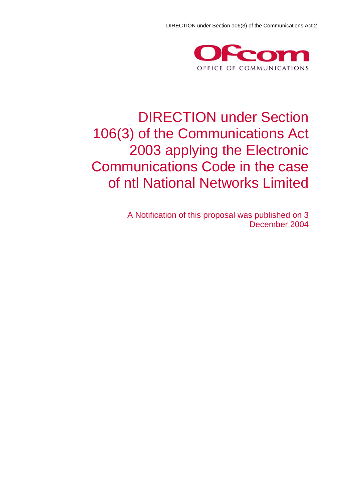

## DIRECTION under Section 106(3) of the Communications Act 2003 applying the Electronic Communications Code in the case of ntl National Networks Limited

A Notification of this proposal was published on 3 December 2004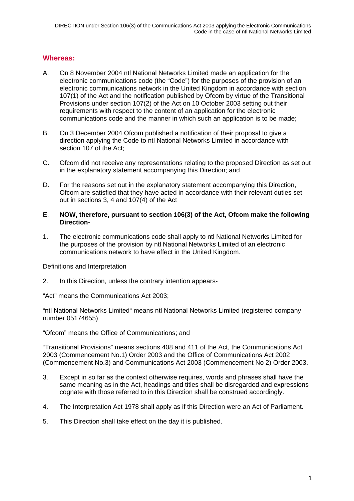### **Whereas:**

- A. On 8 November 2004 ntl National Networks Limited made an application for the electronic communications code (the "Code") for the purposes of the provision of an electronic communications network in the United Kingdom in accordance with section 107(1) of the Act and the notification published by Ofcom by virtue of the Transitional Provisions under section 107(2) of the Act on 10 October 2003 setting out their requirements with respect to the content of an application for the electronic communications code and the manner in which such an application is to be made;
- B. On 3 December 2004 Ofcom published a notification of their proposal to give a direction applying the Code to ntl National Networks Limited in accordance with section 107 of the Act;
- C. Ofcom did not receive any representations relating to the proposed Direction as set out in the explanatory statement accompanying this Direction; and
- D. For the reasons set out in the explanatory statement accompanying this Direction, Ofcom are satisfied that they have acted in accordance with their relevant duties set out in sections 3, 4 and 107(4) of the Act

#### E. **NOW, therefore, pursuant to section 106(3) of the Act, Ofcom make the following Direction-**

1. The electronic communications code shall apply to ntl National Networks Limited for the purposes of the provision by ntl National Networks Limited of an electronic communications network to have effect in the United Kingdom.

Definitions and Interpretation

2. In this Direction, unless the contrary intention appears-

"Act" means the Communications Act 2003;

"ntl National Networks Limited" means ntl National Networks Limited (registered company number 05174655)

"Ofcom" means the Office of Communications; and

"Transitional Provisions" means sections 408 and 411 of the Act, the Communications Act 2003 (Commencement No.1) Order 2003 and the Office of Communications Act 2002 (Commencement No.3) and Communications Act 2003 (Commencement No 2) Order 2003.

- 3. Except in so far as the context otherwise requires, words and phrases shall have the same meaning as in the Act, headings and titles shall be disregarded and expressions cognate with those referred to in this Direction shall be construed accordingly.
- 4. The Interpretation Act 1978 shall apply as if this Direction were an Act of Parliament.
- 5. This Direction shall take effect on the day it is published.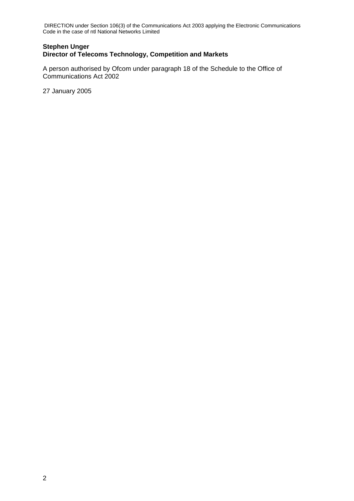DIRECTION under Section 106(3) of the Communications Act 2003 applying the Electronic Communications Code in the case of ntl National Networks Limited

#### **Stephen Unger Director of Telecoms Technology, Competition and Markets**

A person authorised by Ofcom under paragraph 18 of the Schedule to the Office of Communications Act 2002

27 January 2005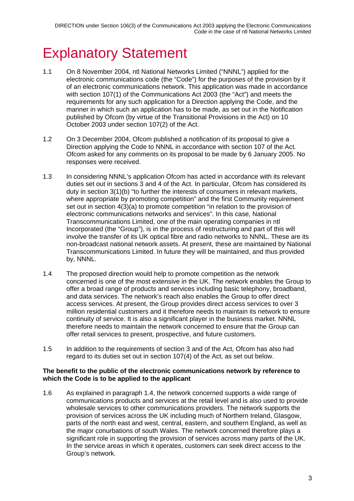# **Explanatory Statement**

- 1.1 On 8 November 2004, ntl National Networks Limited ("NNNL") applied for the electronic communications code (the "Code") for the purposes of the provision by it of an electronic communications network. This application was made in accordance with section 107(1) of the Communications Act 2003 (the "Act") and meets the requirements for any such application for a Direction applying the Code, and the manner in which such an application has to be made, as set out in the Notification published by Ofcom (by virtue of the Transitional Provisions in the Act) on 10 October 2003 under section 107(2) of the Act.
- 1.2 On 3 December 2004, Ofcom published a notification of its proposal to give a Direction applying the Code to NNNL in accordance with section 107 of the Act. Ofcom asked for any comments on its proposal to be made by 6 January 2005. No responses were received.
- 1.3 In considering NNNL's application Ofcom has acted in accordance with its relevant duties set out in sections 3 and 4 of the Act. In particular, Ofcom has considered its duty in section 3(1)(b) "to further the interests of consumers in relevant markets, where appropriate by promoting competition" and the first Community requirement set out in section 4(3)(a) to promote competition "in relation to the provision of electronic communications networks and services". In this case, National Transcommunications Limited, one of the main operating companies in ntl Incorporated (the "Group"), is in the process of restructuring and part of this will involve the transfer of its UK optical fibre and radio networks to NNNL. These are its non-broadcast national network assets. At present, these are maintained by National Transcommunications Limited. In future they will be maintained, and thus provided by, NNNL.
- 1.4 The proposed direction would help to promote competition as the network concerned is one of the most extensive in the UK. The network enables the Group to offer a broad range of products and services including basic telephony, broadband, and data services. The network's reach also enables the Group to offer direct access services. At present, the Group provides direct access services to over 3 million residential customers and it therefore needs to maintain its network to ensure continuity of service. It is also a significant player in the business market. NNNL therefore needs to maintain the network concerned to ensure that the Group can offer retail services to present, prospective, and future customers.
- 1.5 In addition to the requirements of section 3 and of the Act, Ofcom has also had regard to its duties set out in section 107(4) of the Act, as set out below.

#### **The benefit to the public of the electronic communications network by reference to which the Code is to be applied to the applicant**

1.6 As explained in paragraph 1.4, the network concerned supports a wide range of communications products and services at the retail level and is also used to provide wholesale services to other communications providers. The network supports the provision of services across the UK including much of Northern Ireland, Glasgow, parts of the north east and west, central, eastern, and southern England, as well as the major conurbations of south Wales. The network concerned therefore plays a significant role in supporting the provision of services across many parts of the UK. In the service areas in which it operates, customers can seek direct access to the Group's network.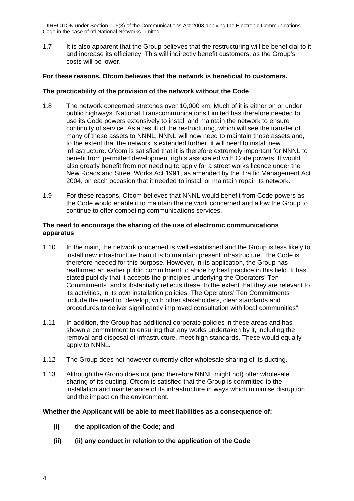DIRECTION under Section 106(3) of the Communications Act 2003 applying the Electronic Communications Code in the case of ntl National Networks Limited

1.7 It is also apparent that the Group believes that the restructuring will be beneficial to it and increase its efficiency. This will indirectly benefit customers, as the Group's costs will be lower.

#### **For these reasons, Ofcom believes that the network is beneficial to customers.**

#### **The practicability of the provision of the network without the Code**

- 1.8 The network concerned stretches over 10,000 km. Much of it is either on or under public highways. National Transcommunications Limited has therefore needed to use its Code powers extensively to install and maintain the network to ensure continuity of service. As a result of the restructuring, which will see the transfer of many of these assets to NNNL, NNNL will now need to maintain those assets and, to the extent that the network is extended further, it will need to install new infrastructure. Ofcom is satisfied that it is therefore extremely important for NNNL to benefit from permitted development rights associated with Code powers. It would also greatly benefit from not needing to apply for a street works licence under the New Roads and Street Works Act 1991, as amended by the Traffic Management Act 2004, on each occasion that it needed to install or maintain repair its network.
- 1.9 For these reasons, Ofcom believes that NNNL would benefit from Code powers as the Code would enable it to maintain the network concerned and allow the Group to continue to offer competing communications services.

#### **The need to encourage the sharing of the use of electronic communications apparatus**

- 1.10 In the main, the network concerned is well established and the Group is less likely to install new infrastructure than it is to maintain present infrastructure. The Code is therefore needed for this purpose. However, in its application, the Group has reaffirmed an earlier public commitment to abide by best practice in this field. It has stated publicly that it accepts the principles underlying the Operators' Ten Commitments and substantially reflects these, to the extent that they are relevant to its activities, in its own installation policies. The Operators' Ten Commitments include the need to "develop, with other stakeholders, clear standards and procedures to deliver significantly improved consultation with local communities"
- 1.11 In addition, the Group has additional corporate policies in these areas and has shown a commitment to ensuring that any works undertaken by it, including the removal and disposal of infrastructure, meet high standards. These would equally apply to NNNL.
- 1.12 The Group does not however currently offer wholesale sharing of its ducting.
- 1.13 Although the Group does not (and therefore NNNL might not) offer wholesale sharing of its ducting, Ofcom is satisfied that the Group is committed to the installation and maintenance of its infrastructure in ways which minimise disruption and the impact on the environment.

#### **Whether the Applicant will be able to meet liabilities as a consequence of:**

- **(i) the application of the Code; and**
- **(ii) (ii) any conduct in relation to the application of the Code**